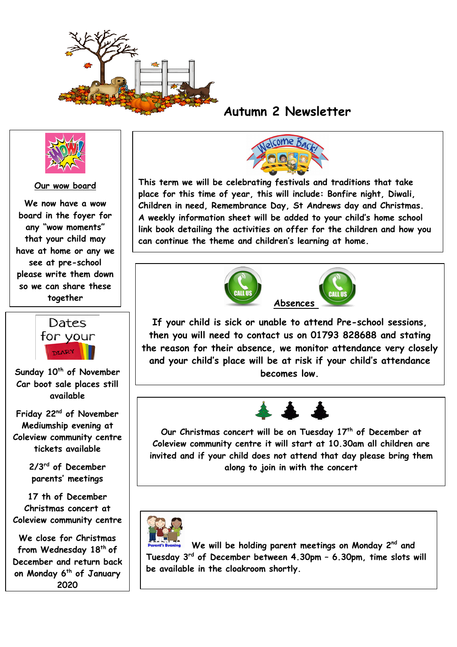

## **Autumn 2 Newsletter**



## **Our wow board**

**We now have a wow board in the foyer for any "wow moments" that your child may have at home or any we see at pre-school please write them down so we can share these together**



**Car boot sale places still available**

**Friday 22nd of November Mediumship evening at Coleview community centre tickets available**

> **2/3rd of December parents' meetings**

**17 th of December Christmas concert at Coleview community centre**

**We close for Christmas from Wednesday 18th of December and return back on Monday 6th of January 2020**



**This term we will be celebrating festivals and traditions that take place for this time of year, this will include: Bonfire night, Diwali, Children in need, Remembrance Day, St Andrews day and Christmas. A weekly information sheet will be added to your child's home school link book detailing the activities on offer for the children and how you can continue the theme and children's learning at home.**





**If your child is sick or unable to attend Pre-school sessions, then you will need to contact us on 01793 828688 and stating the reason for their absence, we monitor attendance very closely and your child's place will be at risk if your child's attendance Sunday 10 becomes low. th of November** 



**Our Christmas concert will be on Tuesday 17th of December at Coleview community centre it will start at 10.30am all children are invited and if your child does not attend that day please bring them along to join in with the concert** 



 **We will be holding parent meetings on Monday 2nd and Tuesday 3rd of December between 4.30pm – 6.30pm, time slots will be available in the cloakroom shortly.**